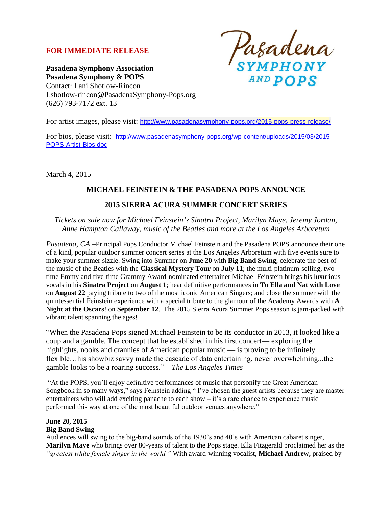# **FOR IMMEDIATE RELEASE**

Pasadena<br>symphony **AND POPS** 

**Pasadena Symphony Association Pasadena Symphony & POPS** Contact: Lani Shotlow-Rincon Lshotlow-rincon@PasadenaSymphony-Pops.org (626) 793-7172 ext. 13

For artist images, please visit: <http://www.pasadenasymphony-pops.org/2015-pops-press-release/>

For bios, please visit: [http://www.pasadenasymphony-pops.org/wp-content/uploads/2015/03/2015-](http://www.pasadenasymphony-pops.org/wp-content/uploads/2015/03/2015-POPS-Artist-Bios.doc) [POPS-Artist-Bios.doc](http://www.pasadenasymphony-pops.org/wp-content/uploads/2015/03/2015-POPS-Artist-Bios.doc)

March 4, 2015

# **MICHAEL FEINSTEIN & THE PASADENA POPS ANNOUNCE**

### **2015 SIERRA ACURA SUMMER CONCERT SERIES**

*Tickets on sale now for Michael Feinstein's Sinatra Project, Marilyn Maye, Jeremy Jordan, Anne Hampton Callaway, music of the Beatles and more at the Los Angeles Arboretum* 

*Pasadena, CA –*Principal Pops Conductor Michael Feinstein and the Pasadena POPS announce their one of a kind, popular outdoor summer concert series at the Los Angeles Arboretum with five events sure to make your summer sizzle. Swing into Summer on **June 20** with **Big Band Swing**; celebrate the best of the music of the Beatles with the **Classical Mystery Tour** on **July 11**; the multi-platinum-selling, twotime Emmy and five-time Grammy Award-nominated entertainer Michael Feinstein brings his luxurious vocals in his **Sinatra Project** on **August 1**; hear definitive performances in **To Ella and Nat with Love** on **August 22** paying tribute to two of the most iconic American Singers; and close the summer with the quintessential Feinstein experience with a special tribute to the glamour of the Academy Awards with **A Night at the Oscars**! on **September 12**. The 2015 Sierra Acura Summer Pops season is jam-packed with vibrant talent spanning the ages!

"When the Pasadena Pops signed Michael Feinstein to be its conductor in 2013, it looked like a coup and a gamble. The concept that he established in his first concert— exploring the highlights, nooks and crannies of American popular music — is proving to be infinitely flexible…his showbiz savvy made the cascade of data entertaining, never overwhelming...the gamble looks to be a roaring success." – *The Los Angeles Times*

"At the POPS, you'll enjoy definitive performances of music that personify the Great American Songbook in so many ways," says Feinstein adding " I've chosen the guest artists because they are master entertainers who will add exciting panache to each show  $-$  it's a rare chance to experience music performed this way at one of the most beautiful outdoor venues anywhere."

# **June 20, 2015**

# **Big Band Swing**

Audiences will swing to the big-band sounds of the 1930's and 40's with American cabaret singer, **Marilyn Maye** who brings over 80-years of talent to the Pops stage. Ella Fitzgerald proclaimed her as the *"greatest white female singer in the world."* With award-winning vocalist, **Michael Andrew,** praised by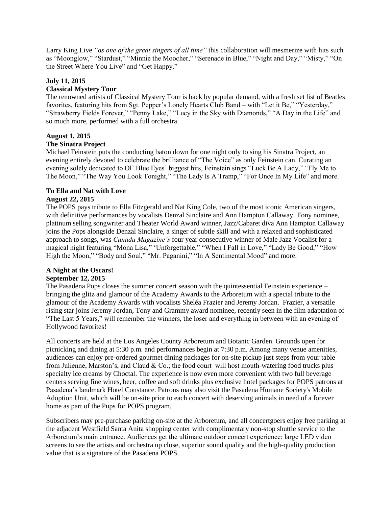Larry King Live *"as one of the great singers of all time"* this collaboration will mesmerize with hits such as "Moonglow," "Stardust," "Minnie the Moocher," "Serenade in Blue," "Night and Day," "Misty," "On the Street Where You Live" and "Get Happy."

### **July 11, 2015**

### **Classical Mystery Tour**

The renowned artists of Classical Mystery Tour is back by popular demand, with a fresh set list of Beatles favorites, featuring hits from Sgt. Pepper's Lonely Hearts Club Band – with "Let it Be," "Yesterday," "Strawberry Fields Forever," "Penny Lake," "Lucy in the Sky with Diamonds," "A Day in the Life" and so much more, performed with a full orchestra.

# **August 1, 2015**

### **The Sinatra Project**

Michael Feinstein puts the conducting baton down for one night only to sing his Sinatra Project, an evening entirely devoted to celebrate the brilliance of "The Voice" as only Feinstein can. Curating an evening solely dedicated to Ol' Blue Eyes' biggest hits, Feinstein sings "Luck Be A Lady," "Fly Me to The Moon," "The Way You Look Tonight," "The Lady Is A Tramp," "For Once In My Life" and more.

# **To Ella and Nat with Love**

### **August 22, 2015**

The POPS pays tribute to Ella Fitzgerald and Nat King Cole, two of the most iconic American singers, with definitive performances by vocalists Denzal Sinclaire and Ann Hampton Callaway. Tony nominee, platinum selling songwriter and Theater World Award winner, Jazz/Cabaret diva Ann Hampton Callaway joins the Pops alongside Denzal Sinclaire, a singer of subtle skill and with a relaxed and sophisticated approach to songs, was *Canada Magazine's* four year consecutive winner of Male Jazz Vocalist for a magical night featuring "Mona Lisa," 'Unforgettable," "When I Fall in Love," "Lady Be Good," "How High the Moon," "Body and Soul," "Mr. Paganini," "In A Sentimental Mood" and more.

### **A Night at the Oscars!**

### **September 12, 2015**

The Pasadena Pops closes the summer concert season with the quintessential Feinstein experience – bringing the glitz and glamour of the Academy Awards to the Arboretum with a special tribute to the glamour of the Academy Awards with vocalists Sheléa Frazier and Jeremy Jordan. Frazier, a versatile rising star joins Jeremy Jordan, Tony and Grammy award nominee, recently seen in the film adaptation of "The Last 5 Years," will remember the winners, the loser and everything in between with an evening of Hollywood favorites!

All concerts are held at the Los Angeles County Arboretum and Botanic Garden. Grounds open for picnicking and dining at 5:30 p.m. and performances begin at 7:30 p.m. Among many venue amenities, audiences can enjoy pre-ordered gourmet dining packages for on-site pickup just steps from your table from Julienne, Marston's, and Claud & Co.; the food court will host mouth-watering food trucks plus specialty ice creams by Choctal. The experience is now even more convenient with two full beverage centers serving fine wines, beer, coffee and soft drinks plus exclusive hotel packages for POPS patrons at Pasadena's landmark Hotel Constance. Patrons may also visit the Pasadena Humane Society's Mobile Adoption Unit, which will be on-site prior to each concert with deserving animals in need of a forever home as part of the Pups for POPS program.

Subscribers may pre-purchase parking on-site at the Arboretum, and all concertgoers enjoy free parking at the adjacent Westfield Santa Anita shopping center with complimentary non-stop shuttle service to the Arboretum's main entrance. Audiences get the ultimate outdoor concert experience: large LED video screens to see the artists and orchestra up close, superior sound quality and the high-quality production value that is a signature of the Pasadena POPS.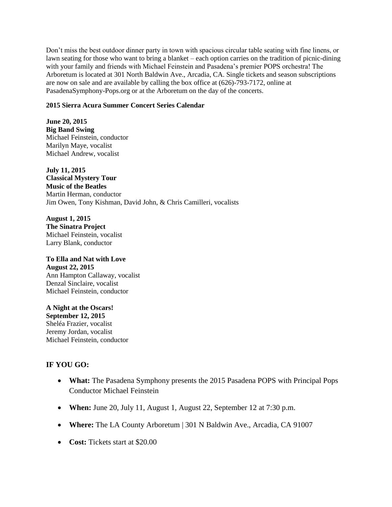Don't miss the best outdoor dinner party in town with spacious circular table seating with fine linens, or lawn seating for those who want to bring a blanket – each option carries on the tradition of picnic-dining with your family and friends with Michael Feinstein and Pasadena's premier POPS orchestra! The Arboretum is located at 301 North Baldwin Ave., Arcadia, CA. Single tickets and season subscriptions are now on sale and are available by calling the box office at (626)-793-7172, online at PasadenaSymphony-Pops.org or at the Arboretum on the day of the concerts.

### **2015 Sierra Acura Summer Concert Series Calendar**

**June 20, 2015 Big Band Swing** Michael Feinstein, conductor Marilyn Maye, vocalist Michael Andrew, vocalist

**July 11, 2015 Classical Mystery Tour Music of the Beatles** Martin Herman, conductor Jim Owen, Tony Kishman, David John, & Chris Camilleri, vocalists

**August 1, 2015 The Sinatra Project** Michael Feinstein, vocalist Larry Blank, conductor

**To Ella and Nat with Love August 22, 2015** Ann Hampton Callaway, vocalist Denzal Sinclaire, vocalist Michael Feinstein, conductor

**A Night at the Oscars! September 12, 2015** Sheléa Frazier, vocalist Jeremy Jordan, vocalist Michael Feinstein, conductor

# **IF YOU GO:**

- **What:** The Pasadena Symphony presents the 2015 Pasadena POPS with Principal Pops Conductor Michael Feinstein
- **When:** June 20, July 11, August 1, August 22, September 12 at 7:30 p.m.
- **Where:** The LA County Arboretum | 301 N Baldwin Ave., Arcadia, CA 91007
- **Cost:** Tickets start at \$20.00